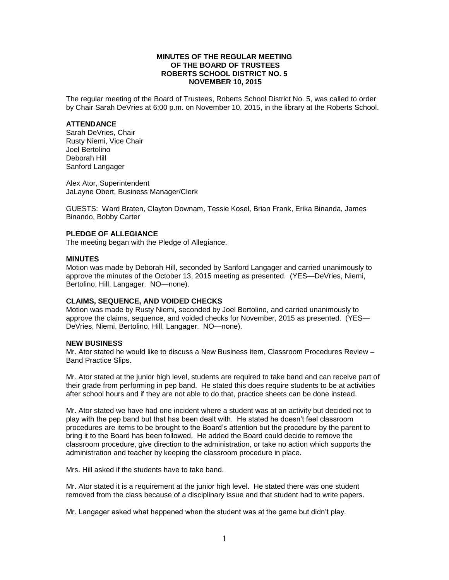## **MINUTES OF THE REGULAR MEETING OF THE BOARD OF TRUSTEES ROBERTS SCHOOL DISTRICT NO. 5 NOVEMBER 10, 2015**

The regular meeting of the Board of Trustees, Roberts School District No. 5, was called to order by Chair Sarah DeVries at 6:00 p.m. on November 10, 2015, in the library at the Roberts School.

## **ATTENDANCE**

Sarah DeVries, Chair Rusty Niemi, Vice Chair Joel Bertolino Deborah Hill Sanford Langager

Alex Ator, Superintendent JaLayne Obert, Business Manager/Clerk

GUESTS: Ward Braten, Clayton Downam, Tessie Kosel, Brian Frank, Erika Binanda, James Binando, Bobby Carter

# **PLEDGE OF ALLEGIANCE**

The meeting began with the Pledge of Allegiance.

## **MINUTES**

Motion was made by Deborah Hill, seconded by Sanford Langager and carried unanimously to approve the minutes of the October 13, 2015 meeting as presented. (YES—DeVries, Niemi, Bertolino, Hill, Langager. NO—none).

## **CLAIMS, SEQUENCE, AND VOIDED CHECKS**

Motion was made by Rusty Niemi, seconded by Joel Bertolino, and carried unanimously to approve the claims, sequence, and voided checks for November, 2015 as presented. (YES— DeVries, Niemi, Bertolino, Hill, Langager. NO—none).

## **NEW BUSINESS**

Mr. Ator stated he would like to discuss a New Business item, Classroom Procedures Review – Band Practice Slips.

Mr. Ator stated at the junior high level, students are required to take band and can receive part of their grade from performing in pep band. He stated this does require students to be at activities after school hours and if they are not able to do that, practice sheets can be done instead.

Mr. Ator stated we have had one incident where a student was at an activity but decided not to play with the pep band but that has been dealt with. He stated he doesn't feel classroom procedures are items to be brought to the Board's attention but the procedure by the parent to bring it to the Board has been followed. He added the Board could decide to remove the classroom procedure, give direction to the administration, or take no action which supports the administration and teacher by keeping the classroom procedure in place.

Mrs. Hill asked if the students have to take band.

Mr. Ator stated it is a requirement at the junior high level. He stated there was one student removed from the class because of a disciplinary issue and that student had to write papers.

Mr. Langager asked what happened when the student was at the game but didn't play.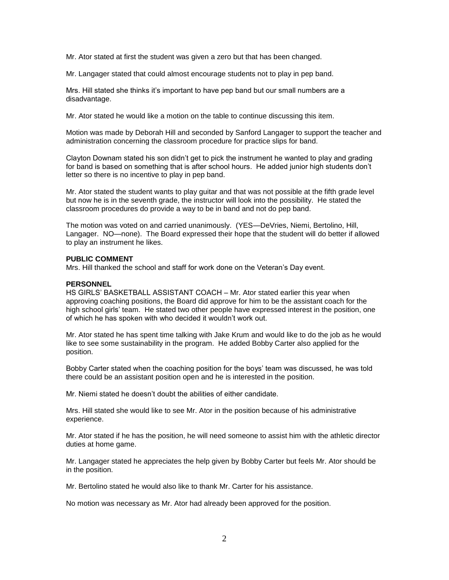Mr. Ator stated at first the student was given a zero but that has been changed.

Mr. Langager stated that could almost encourage students not to play in pep band.

Mrs. Hill stated she thinks it's important to have pep band but our small numbers are a disadvantage.

Mr. Ator stated he would like a motion on the table to continue discussing this item.

Motion was made by Deborah Hill and seconded by Sanford Langager to support the teacher and administration concerning the classroom procedure for practice slips for band.

Clayton Downam stated his son didn't get to pick the instrument he wanted to play and grading for band is based on something that is after school hours. He added junior high students don't letter so there is no incentive to play in pep band.

Mr. Ator stated the student wants to play guitar and that was not possible at the fifth grade level but now he is in the seventh grade, the instructor will look into the possibility. He stated the classroom procedures do provide a way to be in band and not do pep band.

The motion was voted on and carried unanimously. (YES—DeVries, Niemi, Bertolino, Hill, Langager. NO—none). The Board expressed their hope that the student will do better if allowed to play an instrument he likes.

## **PUBLIC COMMENT**

Mrs. Hill thanked the school and staff for work done on the Veteran's Day event.

## **PERSONNEL**

HS GIRLS' BASKETBALL ASSISTANT COACH – Mr. Ator stated earlier this year when approving coaching positions, the Board did approve for him to be the assistant coach for the high school girls' team. He stated two other people have expressed interest in the position, one of which he has spoken with who decided it wouldn't work out.

Mr. Ator stated he has spent time talking with Jake Krum and would like to do the job as he would like to see some sustainability in the program. He added Bobby Carter also applied for the position.

Bobby Carter stated when the coaching position for the boys' team was discussed, he was told there could be an assistant position open and he is interested in the position.

Mr. Niemi stated he doesn't doubt the abilities of either candidate.

Mrs. Hill stated she would like to see Mr. Ator in the position because of his administrative experience.

Mr. Ator stated if he has the position, he will need someone to assist him with the athletic director duties at home game.

Mr. Langager stated he appreciates the help given by Bobby Carter but feels Mr. Ator should be in the position.

Mr. Bertolino stated he would also like to thank Mr. Carter for his assistance.

No motion was necessary as Mr. Ator had already been approved for the position.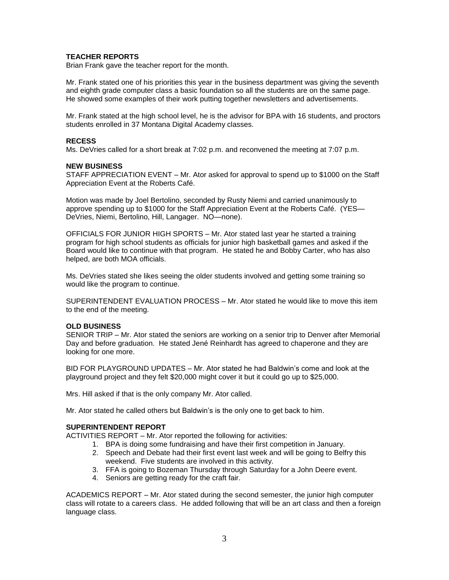# **TEACHER REPORTS**

Brian Frank gave the teacher report for the month.

Mr. Frank stated one of his priorities this year in the business department was giving the seventh and eighth grade computer class a basic foundation so all the students are on the same page. He showed some examples of their work putting together newsletters and advertisements.

Mr. Frank stated at the high school level, he is the advisor for BPA with 16 students, and proctors students enrolled in 37 Montana Digital Academy classes.

## **RECESS**

Ms. DeVries called for a short break at 7:02 p.m. and reconvened the meeting at 7:07 p.m.

## **NEW BUSINESS**

STAFF APPRECIATION EVENT – Mr. Ator asked for approval to spend up to \$1000 on the Staff Appreciation Event at the Roberts Café.

Motion was made by Joel Bertolino, seconded by Rusty Niemi and carried unanimously to approve spending up to \$1000 for the Staff Appreciation Event at the Roberts Café. (YES— DeVries, Niemi, Bertolino, Hill, Langager. NO—none).

OFFICIALS FOR JUNIOR HIGH SPORTS – Mr. Ator stated last year he started a training program for high school students as officials for junior high basketball games and asked if the Board would like to continue with that program. He stated he and Bobby Carter, who has also helped, are both MOA officials.

Ms. DeVries stated she likes seeing the older students involved and getting some training so would like the program to continue.

SUPERINTENDENT EVALUATION PROCESS – Mr. Ator stated he would like to move this item to the end of the meeting.

## **OLD BUSINESS**

SENIOR TRIP – Mr. Ator stated the seniors are working on a senior trip to Denver after Memorial Day and before graduation. He stated Jené Reinhardt has agreed to chaperone and they are looking for one more.

BID FOR PLAYGROUND UPDATES – Mr. Ator stated he had Baldwin's come and look at the playground project and they felt \$20,000 might cover it but it could go up to \$25,000.

Mrs. Hill asked if that is the only company Mr. Ator called.

Mr. Ator stated he called others but Baldwin's is the only one to get back to him.

## **SUPERINTENDENT REPORT**

ACTIVITIES REPORT – Mr. Ator reported the following for activities:

- 1. BPA is doing some fundraising and have their first competition in January.
- 2. Speech and Debate had their first event last week and will be going to Belfry this weekend. Five students are involved in this activity.
- 3. FFA is going to Bozeman Thursday through Saturday for a John Deere event.
- 4. Seniors are getting ready for the craft fair.

ACADEMICS REPORT – Mr. Ator stated during the second semester, the junior high computer class will rotate to a careers class. He added following that will be an art class and then a foreign language class.